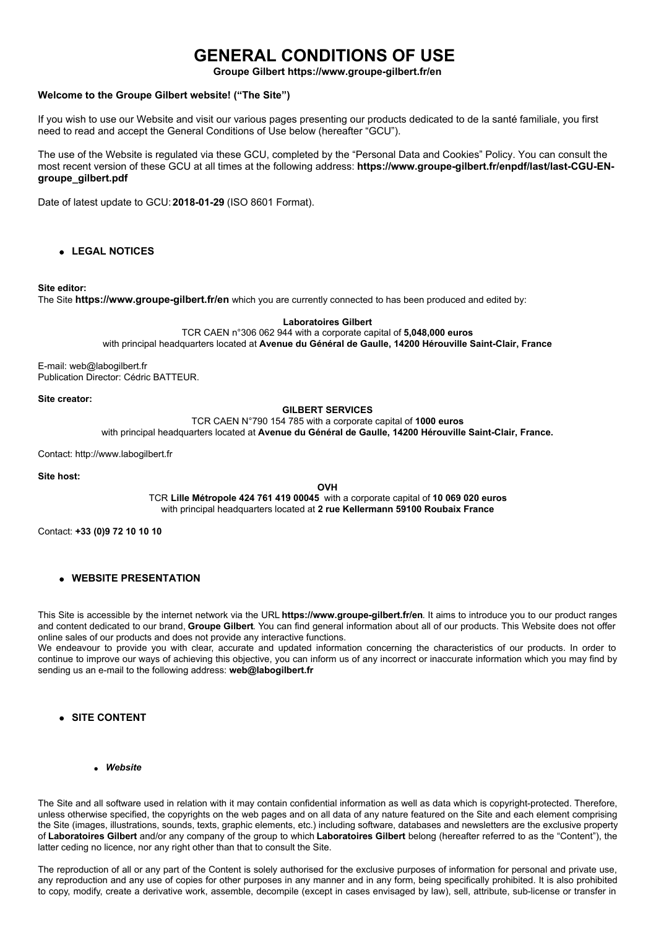# **GENERAL CONDITIONS OF USE**

**Groupe Gilbert https://www.groupe-gilbert.fr/en**

## **Welcome to the Groupe Gilbert website! ("The Site")**

If you wish to use our Website and visit our various pages presenting our products dedicated to de la santé familiale, you first need to read and accept the General Conditions of Use below (hereafter "GCU").

The use of the Website is regulated via these GCU, completed by the "Personal Data and Cookies" Policy. You can consult the most recent version of these GCU at all times at the following address: **https://www.groupe-gilbert.fr/enpdf/last/last-CGU-ENgroupe\_gilbert.pdf**

Date of latest update to GCU: **2018-01-29** (ISO 8601 Format).

**LEGAL NOTICES**

#### **Site editor:**

The Site **https://www.groupe-gilbert.fr/en** which you are currently connected to has been produced and edited by:

**Laboratoires Gilbert**

TCR CAEN n°306 062 944 with a corporate capital of **5,048,000 euros** with principal headquarters located at **Avenue du Général de Gaulle, 14200 Hérouville Saint-Clair, France**

E-mail: web@labogilbert.fr Publication Director: Cédric BATTEUR.

**Site creator:**

**GILBERT SERVICES**

TCR CAEN N°790 154 785 with a corporate capital of **1000 euros**

with principal headquarters located at **Avenue du Général de Gaulle, 14200 Hérouville Saint-Clair, France.**

Contact: http://www.labogilbert.fr

**Site host:**

**OVH**

TCR **Lille Métropole 424 761 419 00045** with a corporate capital of **10 069 020 euros** with principal headquarters located at **2 rue Kellermann 59100 Roubaix France**

Contact: **+33 (0)9 72 10 10 10**

**WEBSITE PRESENTATION**

This Site is accessible by the internet network via the URL **https://www.groupe-gilbert.fr/en**. It aims to introduce you to our product ranges and content dedicated to our brand, **Groupe Gilbert**. You can find general information about all of our products. This Website does not offer online sales of our products and does not provide any interactive functions.

We endeavour to provide you with clear, accurate and updated information concerning the characteristics of our products. In order to continue to improve our ways of achieving this objective, you can inform us of any incorrect or inaccurate information which you may find by sending us an e-mail to the following address: **web@labogilbert.fr**

- **SITE CONTENT**
	- *Website*

The Site and all software used in relation with it may contain confidential information as well as data which is copyright-protected. Therefore, unless otherwise specified, the copyrights on the web pages and on all data of any nature featured on the Site and each element comprising the Site (images, illustrations, sounds, texts, graphic elements, etc.) including software, databases and newsletters are the exclusive property of **Laboratoires Gilbert** and/or any company of the group to which **Laboratoires Gilbert** belong (hereafter referred to as the "Content"), the latter ceding no licence, nor any right other than that to consult the Site.

The reproduction of all or any part of the Content is solely authorised for the exclusive purposes of information for personal and private use, any reproduction and any use of copies for other purposes in any manner and in any form, being specifically prohibited. It is also prohibited to copy, modify, create a derivative work, assemble, decompile (except in cases envisaged by law), sell, attribute, sub-license or transfer in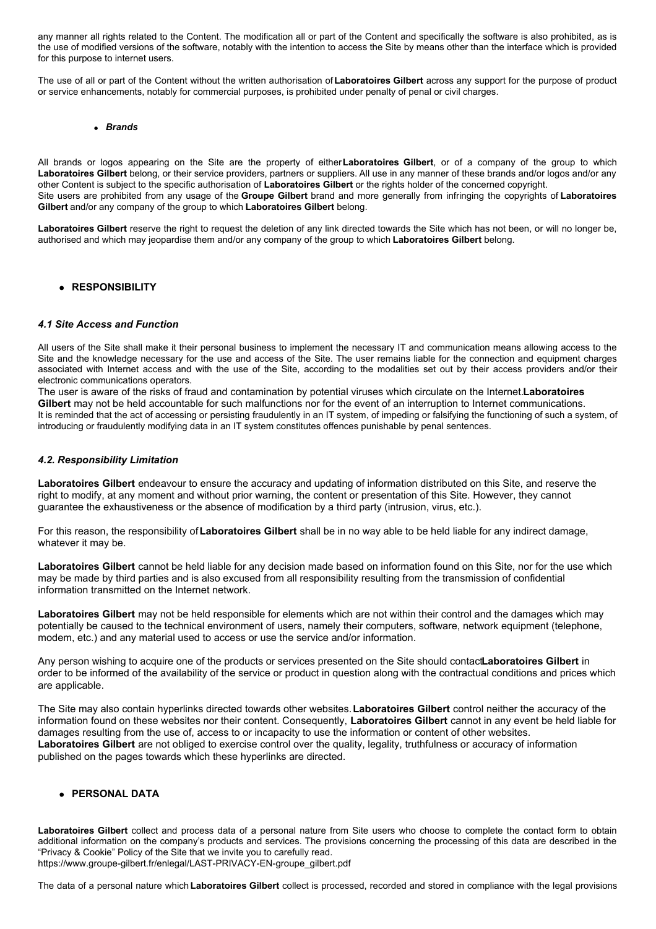any manner all rights related to the Content. The modification all or part of the Content and specifically the software is also prohibited, as is the use of modified versions of the software, notably with the intention to access the Site by means other than the interface which is provided for this purpose to internet users.

The use of all or part of the Content without the written authorisation of**Laboratoires Gilbert** across any support for the purpose of product or service enhancements, notably for commercial purposes, is prohibited under penalty of penal or civil charges.

#### *Brands*

All brands or logos appearing on the Site are the property of either**Laboratoires Gilbert**, or of a company of the group to which **Laboratoires Gilbert** belong, or their service providers, partners or suppliers. All use in any manner of these brands and/or logos and/or any other Content is subject to the specific authorisation of **Laboratoires Gilbert** or the rights holder of the concerned copyright. Site users are prohibited from any usage of the **Groupe Gilbert** brand and more generally from infringing the copyrights of **Laboratoires Gilbert** and/or any company of the group to which **Laboratoires Gilbert** belong.

**Laboratoires Gilbert** reserve the right to request the deletion of any link directed towards the Site which has not been, or will no longer be, authorised and which may jeopardise them and/or any company of the group to which **Laboratoires Gilbert** belong.

#### **RESPONSIBILITY**

#### *4.1 Site Access and Function*

All users of the Site shall make it their personal business to implement the necessary IT and communication means allowing access to the Site and the knowledge necessary for the use and access of the Site. The user remains liable for the connection and equipment charges associated with Internet access and with the use of the Site, according to the modalities set out by their access providers and/or their electronic communications operators.

The user is aware of the risks of fraud and contamination by potential viruses which circulate on the Internet.**Laboratoires Gilbert** may not be held accountable for such malfunctions nor for the event of an interruption to Internet communications. It is reminded that the act of accessing or persisting fraudulently in an IT system, of impeding or falsifying the functioning of such a system, of introducing or fraudulently modifying data in an IT system constitutes offences punishable by penal sentences.

#### *4.2. Responsibility Limitation*

**Laboratoires Gilbert** endeavour to ensure the accuracy and updating of information distributed on this Site, and reserve the right to modify, at any moment and without prior warning, the content or presentation of this Site. However, they cannot guarantee the exhaustiveness or the absence of modification by a third party (intrusion, virus, etc.).

For this reason, the responsibility of**Laboratoires Gilbert** shall be in no way able to be held liable for any indirect damage, whatever it may be.

**Laboratoires Gilbert** cannot be held liable for any decision made based on information found on this Site, nor for the use which may be made by third parties and is also excused from all responsibility resulting from the transmission of confidential information transmitted on the Internet network.

**Laboratoires Gilbert** may not be held responsible for elements which are not within their control and the damages which may potentially be caused to the technical environment of users, namely their computers, software, network equipment (telephone, modem, etc.) and any material used to access or use the service and/or information.

Any person wishing to acquire one of the products or services presented on the Site should contact**Laboratoires Gilbert** in order to be informed of the availability of the service or product in question along with the contractual conditions and prices which are applicable.

The Site may also contain hyperlinks directed towards other websites.**Laboratoires Gilbert** control neither the accuracy of the information found on these websites nor their content. Consequently, **Laboratoires Gilbert** cannot in any event be held liable for damages resulting from the use of, access to or incapacity to use the information or content of other websites. **Laboratoires Gilbert** are not obliged to exercise control over the quality, legality, truthfulness or accuracy of information published on the pages towards which these hyperlinks are directed.

### **PERSONAL DATA**

**Laboratoires Gilbert** collect and process data of a personal nature from Site users who choose to complete the contact form to obtain additional information on the company's products and services. The provisions concerning the processing of this data are described in the "Privacy & Cookie" Policy of the Site that we invite you to carefully read. https://www.groupe-gilbert.fr/enlegal/LAST-PRIVACY-EN-groupe\_gilbert.pdf

The data of a personal nature which **Laboratoires Gilbert** collect is processed, recorded and stored in compliance with the legal provisions